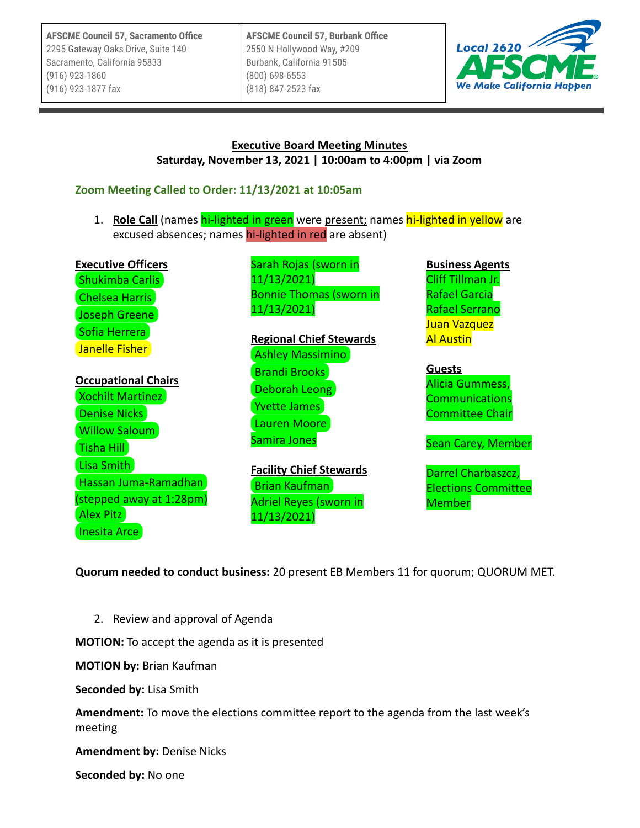**AFSCME Council 57, Sacramento Office** 2295 Gateway Oaks Drive, Suite 140 Sacramento, California 95833 (916) 923-1860 (916) 923-1877 fax

**AFSCME Council 57, Burbank Office** 2550 N Hollywood Way, #209 Burbank, California 91505 (800) 698-6553 (818) 847-2523 fax



#### **Executive Board Meeting Minutes Saturday, November 13, 2021 | 10:00am to 4:00pm | via Zoom**

## **Zoom Meeting Called to Order: 11/13/2021 at 10:05am**

1. **Role Call** (names hi-lighted in green were present; names hi-lighted in yellow are excused absences; names hi-lighted in red are absent)

| <b>Executive Officers</b><br><b>Shukimba Carlis</b><br><b>Chelsea Harris</b><br>Joseph Greene<br>Sofia Herrera<br>Janelle Fisher<br><b>Occupational Chairs</b><br><b>Xochilt Martinez</b><br>Denise Nicks<br><b>Willow Saloum</b> | Sarah Rojas (sworn in<br>11/13/2021)<br><b>Bonnie Thomas (sworn in</b><br>11/13/2021)<br><b>Regional Chief Stewards</b><br><b>Ashley Massimino</b><br><b>Brandi Brooks</b><br>Deborah Leong<br><b>Yvette James</b><br>Lauren Moore<br>Samira Jones | <b>Business Agents</b><br>Cliff Tillman Jr.<br><b>Rafael Garcia</b><br><b>Rafael Serrano</b><br>Juan Vazquez<br><b>Al Austin</b><br><b>Guests</b><br>Alicia Gummess,<br><b>Communications</b><br><b>Committee Chair</b><br><b>Sean Carey, Member</b> |
|-----------------------------------------------------------------------------------------------------------------------------------------------------------------------------------------------------------------------------------|----------------------------------------------------------------------------------------------------------------------------------------------------------------------------------------------------------------------------------------------------|------------------------------------------------------------------------------------------------------------------------------------------------------------------------------------------------------------------------------------------------------|
| Tisha Hill<br>Lisa Smith<br>Hassan Juma-Ramadhan<br>(stepped away at 1:28pm)<br><b>Alex Pitz</b>                                                                                                                                  | <b>Facility Chief Stewards</b><br><b>Brian Kaufman</b><br><b>Adriel Reyes (sworn in</b><br>11/13/2021)                                                                                                                                             | Darrel Charbaszcz,<br><b>Elections Committee</b><br><b>Member</b>                                                                                                                                                                                    |

**Quorum needed to conduct business:** 20 present EB Members 11 for quorum; QUORUM MET.

11/13/2021)

2. Review and approval of Agenda

**MOTION:** To accept the agenda as it is presented

**MOTION by:** Brian Kaufman

**Seconded by:** Lisa Smith

[Inesita Arce](mailto:inesita.arce@afscmelocal2620.org)

**Amendment:** To move the elections committee report to the agenda from the last week's meeting

**Amendment by:** Denise Nicks

**Seconded by:** No one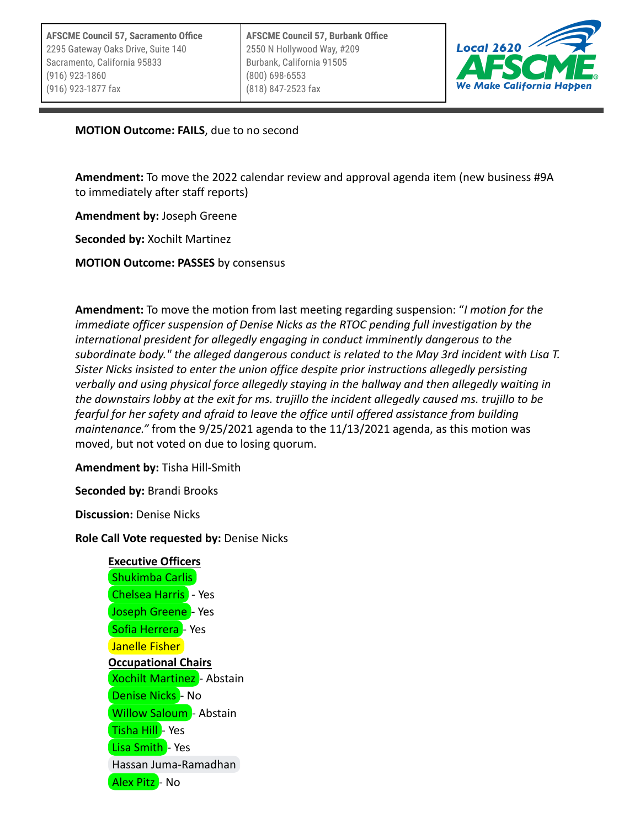

**MOTION Outcome: FAILS**, due to no second

**Amendment:** To move the 2022 calendar review and approval agenda item (new business #9A to immediately after staff reports)

**Amendment by:** Joseph Greene

**Seconded by:** Xochilt Martinez

**MOTION Outcome: PASSES** by consensus

**Amendment:** To move the motion from last meeting regarding suspension: "*I motion for the immediate officer suspension of Denise Nicks as the RTOC pending full investigation by the international president for allegedly engaging in conduct imminently dangerous to the subordinate body." the alleged dangerous conduct is related to the May 3rd incident with Lisa T. Sister Nicks insisted to enter the union office despite prior instructions allegedly persisting verbally and using physical force allegedly staying in the hallway and then allegedly waiting in the downstairs lobby at the exit for ms. trujillo the incident allegedly caused ms. trujillo to be fearful for her safety and afraid to leave the office until offered assistance from building maintenance."* from the 9/25/2021 agenda to the 11/13/2021 agenda, as this motion was moved, but not voted on due to losing quorum.

**Amendment by:** Tisha Hill-Smith

**Seconded by:** Brandi Brooks

**Discussion:** Denise Nicks

**Role Call Vote requested by:** Denise Nicks

**Executive Officers** [Shukimba Carlis](mailto:president@afscmelocal2620.org) **[Chelsea Harris](mailto:northernvp@afscmelocal2620.org)** - Yes [Joseph Greene](mailto:kg6cig@gmail.com) - Yes [Sofia Herrera](mailto:treasurer@afscmelocal2620.org) - Yes [Janelle Fisher](mailto:secretary@afscmelocal2620.org) **Occupational Chairs [Xochilt Martinez](mailto:xochilt.martinez@afscmelocal2620.org)** - Abstain [Denise Nicks](mailto:denise.nicks@afscmelocal2620.org) - No **[Willow Saloum](mailto:willow.saloum@afscmelocal2620.org)** - Abstain [Tisha Hill](mailto:tisha.hill@afscmelocal2620.org) - Yes [Lisa Smith](mailto:lisa.smith@afscmelocal2620.org) - Yes [Hassan Juma-Ramadhan](mailto:hassan.juma-ramadhan@afscmelocal2620.org) [Alex Pitz](mailto:alex.pitz@afscmelocal2620.org) - No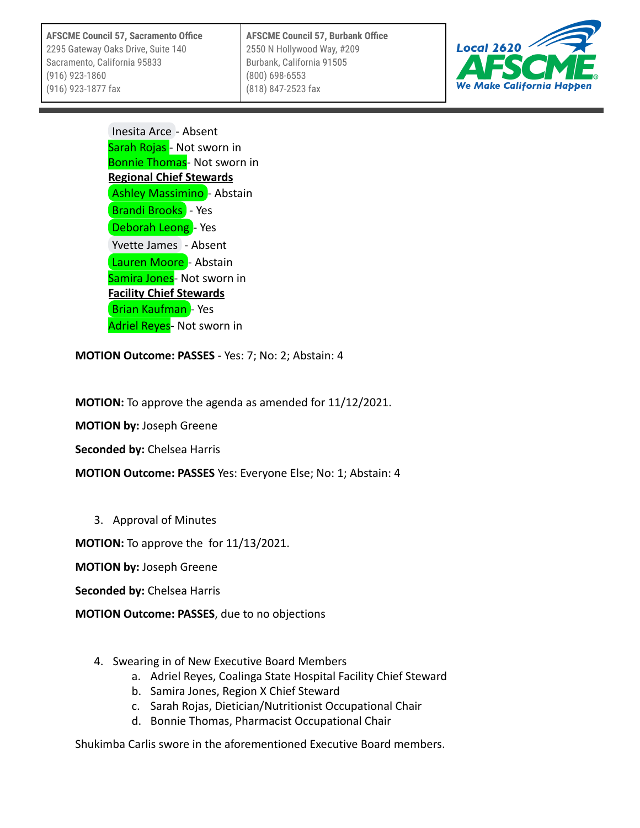**AFSCME Council 57, Sacramento Office** 2295 Gateway Oaks Drive, Suite 140 Sacramento, California 95833 (916) 923-1860 (916) 923-1877 fax

**AFSCME Council 57, Burbank Office** 2550 N Hollywood Way, #209 Burbank, California 91505 (800) 698-6553 (818) 847-2523 fax



[Inesita Arce](mailto:inesita.arce@afscmelocal2620.org) - Absent Sarah Rojas - Not sworn in Bonnie Thomas- Not sworn in **Regional Chief Stewards** [Ashley Massimino](mailto:ashley.massimino@afscmelocal2620.org) - Abstain **[Brandi Brooks](mailto:brandi.brooks@afscmelocal2620.org)** - Yes [Deborah Leong](mailto:deborah.leong@afscmelocal2620.org) - Yes [Yvette James](mailto:yvette.james@afscmelocal2620.org) - Absent [Lauren Moore](mailto:lauren.moore@afscmelocal2620.org) - Abstain Samira Jones- Not sworn in **Facility Chief Stewards [Brian Kaufman](mailto:bkaufman.afscme2620@gmail.com)** - Yes Adriel Reyes- Not sworn in

**MOTION Outcome: PASSES** - Yes: 7; No: 2; Abstain: 4

**MOTION:** To approve the agenda as amended for 11/12/2021.

**MOTION by:** Joseph Greene

**Seconded by:** Chelsea Harris

**MOTION Outcome: PASSES** Yes: Everyone Else; No: 1; Abstain: 4

3. Approval of Minutes

**MOTION:** To approve the for 11/13/2021.

**MOTION by:** Joseph Greene

**Seconded by:** Chelsea Harris

**MOTION Outcome: PASSES**, due to no objections

- 4. Swearing in of New Executive Board Members
	- a. Adriel Reyes, Coalinga State Hospital Facility Chief Steward
	- b. Samira Jones, Region X Chief Steward
	- c. Sarah Rojas, Dietician/Nutritionist Occupational Chair
	- d. Bonnie Thomas, Pharmacist Occupational Chair

Shukimba Carlis swore in the aforementioned Executive Board members.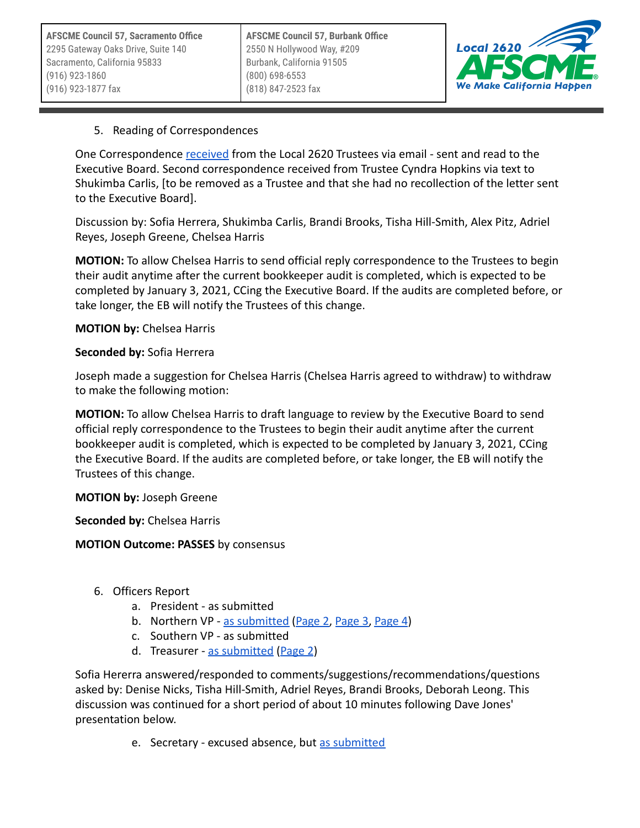

### 5. Reading of Correspondences

One Correspondence [received](https://docs.google.com/document/u/0/d/17z3pVR5cqLsVrFg4Ibx29wYUFRh_Got5/edit) from the Local 2620 Trustees via email - sent and read to the Executive Board. Second correspondence received from Trustee Cyndra Hopkins via text to Shukimba Carlis, [to be removed as a Trustee and that she had no recollection of the letter sent to the Executive Board].

Discussion by: Sofia Herrera, Shukimba Carlis, Brandi Brooks, Tisha Hill-Smith, Alex Pitz, Adriel Reyes, Joseph Greene, Chelsea Harris

**MOTION:** To allow Chelsea Harris to send official reply correspondence to the Trustees to begin their audit anytime after the current bookkeeper audit is completed, which is expected to be completed by January 3, 2021, CCing the Executive Board. If the audits are completed before, or take longer, the EB will notify the Trustees of this change.

**MOTION by:** Chelsea Harris

#### **Seconded by:** Sofia Herrera

Joseph made a suggestion for Chelsea Harris (Chelsea Harris agreed to withdraw) to withdraw to make the following motion:

**MOTION:** To allow Chelsea Harris to draft language to review by the Executive Board to send official reply correspondence to the Trustees to begin their audit anytime after the current bookkeeper audit is completed, which is expected to be completed by January 3, 2021, CCing the Executive Board. If the audits are completed before, or take longer, the EB will notify the Trustees of this change.

**MOTION by:** Joseph Greene

**Seconded by:** Chelsea Harris

#### **MOTION Outcome: PASSES** by consensus

- 6. Officers Report
	- a. President as submitted
	- b. Northern VP [as submitted](https://drive.google.com/open?id=1TBFLFRKcNtSSoAGuU0-MVeRnEtJ9Upxi) [\(Page 2](https://drive.google.com/open?id=13SjmD6CDzxA_f1XTFq7tGjMVifklMQm0), [Page 3,](https://drive.google.com/open?id=14gazDzCsTGFaq4rnHTedX499HzuZySwJ) [Page 4](https://drive.google.com/open?id=1LWId3CTxTt4wrdhDgIAHVr83rDGcVulC))
	- c. Southern VP as submitted
	- d. Treasurer [as submitted](https://drive.google.com/open?id=1fpx03M9GQSyFszCHFPVc_sRaDhngO2r4) [\(Page 2](https://drive.google.com/open?id=1FMdr8bQZsY6gQdXQrdzgr2redYdaehGV))

Sofia Hererra answered/responded to comments/suggestions/recommendations/questions asked by: Denise Nicks, Tisha Hill-Smith, Adriel Reyes, Brandi Brooks, Deborah Leong. This discussion was continued for a short period of about 10 minutes following Dave Jones' presentation below.

e. Secretary - excused absence, but [as submitted](https://docs.google.com/document/d/1zmA0DrKDyOw6r9FcO6KP4Ws_ECrDWc1sVM-9enc3DtA/edit?usp=sharing)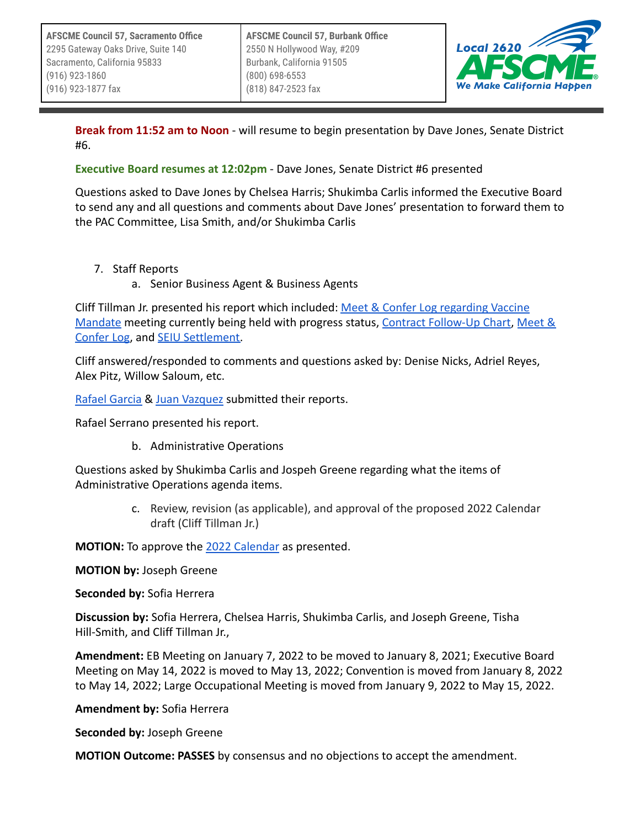

**Break from 11:52 am to Noon** - will resume to begin presentation by Dave Jones, Senate District #6.

**Executive Board resumes at 12:02pm** - Dave Jones, Senate District #6 presented

Questions asked to Dave Jones by Chelsea Harris; Shukimba Carlis informed the Executive Board to send any and all questions and comments about Dave Jones' presentation to forward them to the PAC Committee, Lisa Smith, and/or Shukimba Carlis

- 7. Staff Reports
	- a. Senior Business Agent & Business Agents

Cliff Tillman Jr. presented his report which included: [Meet & Confer Log regarding Vaccine](https://docs.google.com/document/u/0/d/1drfks13lUA6MbpW82TAisY-g4ab30OIk/edit) [Mandate](https://docs.google.com/document/u/0/d/1drfks13lUA6MbpW82TAisY-g4ab30OIk/edit) meeting currently being held with progress status, [Contract Follow-Up Chart,](https://docs.google.com/document/u/0/d/1r9SzpbugVZJP-gGt16zmjaJsX5f521NJ/edit) [Meet &](https://docs.google.com/spreadsheets/u/0/d/1F9JjFcaf2oyivDFRqn_uZfOECq_yLuBA/edit) [Confer Log](https://docs.google.com/spreadsheets/u/0/d/1F9JjFcaf2oyivDFRqn_uZfOECq_yLuBA/edit), and [SEIU Settlement.](https://drive.google.com/open?id=1prLYxlsLYODk_y-t2YnX4mI55CmOztxu)

Cliff answered/responded to comments and questions asked by: Denise Nicks, Adriel Reyes, Alex Pitz, Willow Saloum, etc.

[Rafael Garcia](https://drive.google.com/open?id=1EAOri8ItNUBZI-_5G2bZQwzlfvie9Ndw) & [Juan Vazquez](https://docs.google.com/document/u/0/d/12HDm6V2D668newDjgELQ7L57VxfdvViD/edit) submitted their reports.

Rafael Serrano presented his report.

b. Administrative Operations

Questions asked by Shukimba Carlis and Jospeh Greene regarding what the items of Administrative Operations agenda items.

> c. Review, revision (as applicable), and approval of the proposed 2022 Calendar draft (Cliff Tillman Jr.)

**MOTION:** To approve the [2022 Calendar](https://docs.google.com/spreadsheets/u/0/d/12a5Idq3350dnlAVAIvFUjPZpEg3A2hWu/edit) as presented.

**MOTION by:** Joseph Greene

**Seconded by:** Sofia Herrera

**Discussion by:** Sofia Herrera, Chelsea Harris, Shukimba Carlis, and Joseph Greene, Tisha Hill-Smith, and Cliff Tillman Jr.,

**Amendment:** EB Meeting on January 7, 2022 to be moved to January 8, 2021; Executive Board Meeting on May 14, 2022 is moved to May 13, 2022; Convention is moved from January 8, 2022 to May 14, 2022; Large Occupational Meeting is moved from January 9, 2022 to May 15, 2022.

**Amendment by:** Sofia Herrera

**Seconded by:** Joseph Greene

**MOTION Outcome: PASSES** by consensus and no objections to accept the amendment.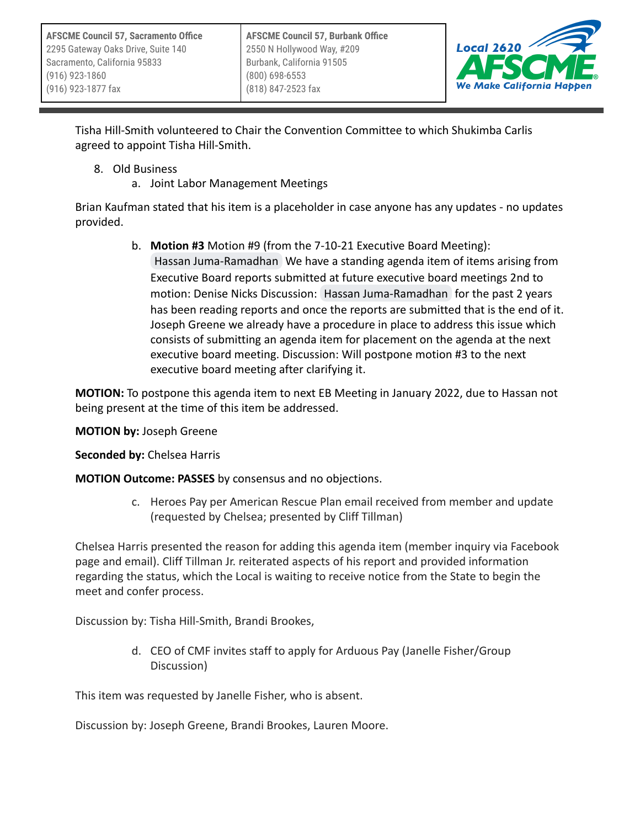

Tisha Hill-Smith volunteered to Chair the Convention Committee to which Shukimba Carlis agreed to appoint Tisha Hill-Smith.

- 8. Old Business
	- a. Joint Labor Management Meetings

Brian Kaufman stated that his item is a placeholder in case anyone has any updates - no updates provided.

> b. **Motion #3** Motion #9 (from the 7-10-21 Executive Board Meeting): [Hassan Juma-Ramadhan](mailto:hassan.juma-ramadhan@afscmelocal2620.org) We have a standing agenda item of items arising from Executive Board reports submitted at future executive board meetings 2nd to motion: Denise Nicks Discussion: [Hassan Juma-Ramadhan](mailto:hassan.juma-ramadhan@afscmelocal2620.org) for the past 2 years has been reading reports and once the reports are submitted that is the end of it. Joseph Greene we already have a procedure in place to address this issue which consists of submitting an agenda item for placement on the agenda at the next executive board meeting. Discussion: Will postpone motion #3 to the next executive board meeting after clarifying it.

**MOTION:** To postpone this agenda item to next EB Meeting in January 2022, due to Hassan not being present at the time of this item be addressed.

**MOTION by:** Joseph Greene

**Seconded by:** Chelsea Harris

**MOTION Outcome: PASSES** by consensus and no objections.

c. Heroes Pay per American Rescue Plan email received from member and update (requested by Chelsea; presented by Cliff Tillman)

Chelsea Harris presented the reason for adding this agenda item (member inquiry via Facebook page and email). Cliff Tillman Jr. reiterated aspects of his report and provided information regarding the status, which the Local is waiting to receive notice from the State to begin the meet and confer process.

Discussion by: Tisha Hill-Smith, Brandi Brookes,

d. CEO of CMF invites staff to apply for Arduous Pay (Janelle Fisher/Group Discussion)

This item was requested by Janelle Fisher, who is absent.

Discussion by: Joseph Greene, Brandi Brookes, Lauren Moore.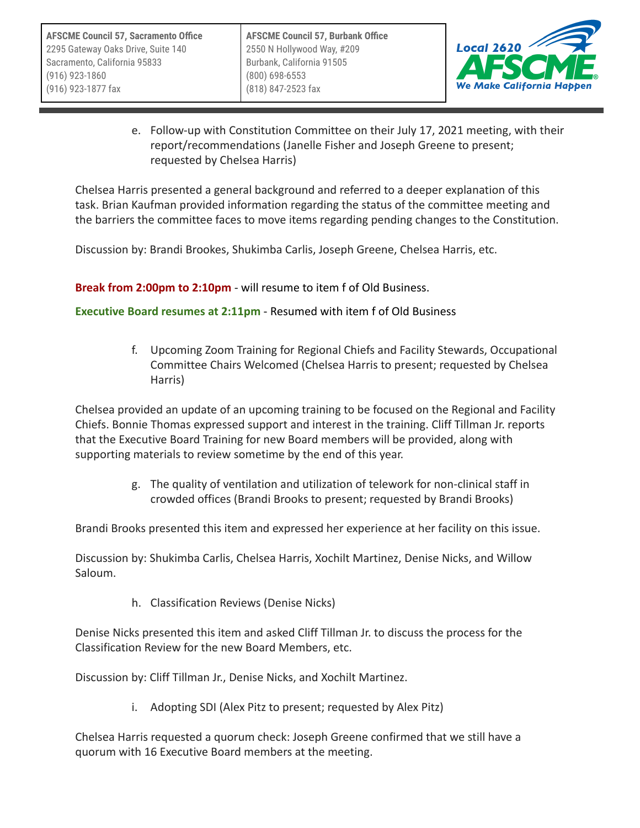

e. Follow-up with Constitution Committee on their July 17, 2021 meeting, with their report/recommendations (Janelle Fisher and Joseph Greene to present; requested by Chelsea Harris)

Chelsea Harris presented a general background and referred to a deeper explanation of this task. Brian Kaufman provided information regarding the status of the committee meeting and the barriers the committee faces to move items regarding pending changes to the Constitution.

Discussion by: Brandi Brookes, Shukimba Carlis, Joseph Greene, Chelsea Harris, etc.

**Break from 2:00pm to 2:10pm** - will resume to item f of Old Business.

**Executive Board resumes at 2:11pm** - Resumed with item f of Old Business

f. Upcoming Zoom Training for Regional Chiefs and Facility Stewards, Occupational Committee Chairs Welcomed (Chelsea Harris to present; requested by Chelsea Harris)

Chelsea provided an update of an upcoming training to be focused on the Regional and Facility Chiefs. Bonnie Thomas expressed support and interest in the training. Cliff Tillman Jr. reports that the Executive Board Training for new Board members will be provided, along with supporting materials to review sometime by the end of this year.

> g. The quality of ventilation and utilization of telework for non-clinical staff in crowded offices (Brandi Brooks to present; requested by Brandi Brooks)

Brandi Brooks presented this item and expressed her experience at her facility on this issue.

Discussion by: Shukimba Carlis, Chelsea Harris, Xochilt Martinez, Denise Nicks, and Willow Saloum.

h. Classification Reviews (Denise Nicks)

Denise Nicks presented this item and asked Cliff Tillman Jr. to discuss the process for the Classification Review for the new Board Members, etc.

Discussion by: Cliff Tillman Jr., Denise Nicks, and Xochilt Martinez.

i. Adopting SDI (Alex Pitz to present; requested by Alex Pitz)

Chelsea Harris requested a quorum check: Joseph Greene confirmed that we still have a quorum with 16 Executive Board members at the meeting.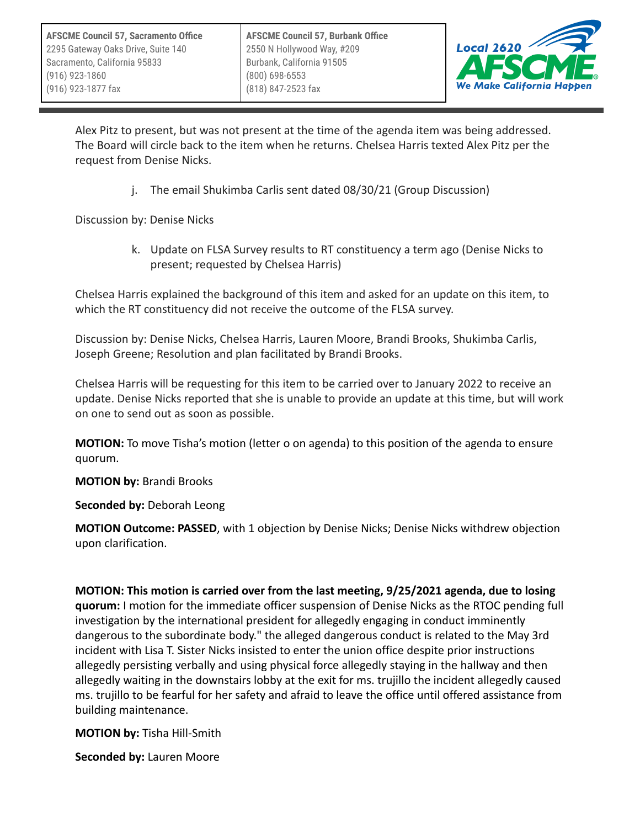

Alex Pitz to present, but was not present at the time of the agenda item was being addressed. The Board will circle back to the item when he returns. Chelsea Harris texted Alex Pitz per the request from Denise Nicks.

j. The email Shukimba Carlis sent dated 08/30/21 (Group Discussion)

Discussion by: Denise Nicks

k. Update on FLSA Survey results to RT constituency a term ago (Denise Nicks to present; requested by Chelsea Harris)

Chelsea Harris explained the background of this item and asked for an update on this item, to which the RT constituency did not receive the outcome of the FLSA survey.

Discussion by: Denise Nicks, Chelsea Harris, Lauren Moore, Brandi Brooks, Shukimba Carlis, Joseph Greene; Resolution and plan facilitated by Brandi Brooks.

Chelsea Harris will be requesting for this item to be carried over to January 2022 to receive an update. Denise Nicks reported that she is unable to provide an update at this time, but will work on one to send out as soon as possible.

**MOTION:** To move Tisha's motion (letter o on agenda) to this position of the agenda to ensure quorum.

**MOTION by:** Brandi Brooks

**Seconded by:** Deborah Leong

**MOTION Outcome: PASSED**, with 1 objection by Denise Nicks; Denise Nicks withdrew objection upon clarification.

**MOTION: This motion is carried over from the last meeting, 9/25/2021 agenda, due to losing quorum:** I motion for the immediate officer suspension of Denise Nicks as the RTOC pending full investigation by the international president for allegedly engaging in conduct imminently dangerous to the subordinate body." the alleged dangerous conduct is related to the May 3rd incident with Lisa T. Sister Nicks insisted to enter the union office despite prior instructions allegedly persisting verbally and using physical force allegedly staying in the hallway and then allegedly waiting in the downstairs lobby at the exit for ms. trujillo the incident allegedly caused ms. trujillo to be fearful for her safety and afraid to leave the office until offered assistance from building maintenance.

**MOTION by:** Tisha Hill-Smith

**Seconded by:** Lauren Moore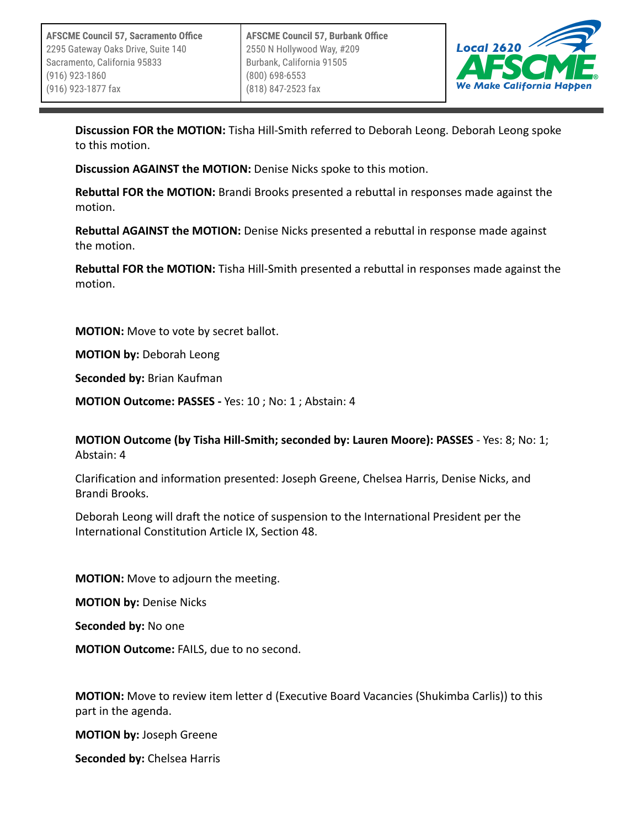

**Discussion FOR the MOTION:** Tisha Hill-Smith referred to Deborah Leong. Deborah Leong spoke to this motion.

**Discussion AGAINST the MOTION:** Denise Nicks spoke to this motion.

**Rebuttal FOR the MOTION:** Brandi Brooks presented a rebuttal in responses made against the motion.

**Rebuttal AGAINST the MOTION:** Denise Nicks presented a rebuttal in response made against the motion.

**Rebuttal FOR the MOTION:** Tisha Hill-Smith presented a rebuttal in responses made against the motion.

**MOTION:** Move to vote by secret ballot.

**MOTION by:** Deborah Leong

**Seconded by:** Brian Kaufman

**MOTION Outcome: PASSES -** Yes: 10 ; No: 1 ; Abstain: 4

**MOTION Outcome (by Tisha Hill-Smith; seconded by: Lauren Moore): PASSES** - Yes: 8; No: 1; Abstain: 4

Clarification and information presented: Joseph Greene, Chelsea Harris, Denise Nicks, and Brandi Brooks.

Deborah Leong will draft the notice of suspension to the International President per the International Constitution Article IX, Section 48.

**MOTION:** Move to adjourn the meeting.

**MOTION by:** Denise Nicks

**Seconded by:** No one

**MOTION Outcome:** FAILS, due to no second.

**MOTION:** Move to review item letter d (Executive Board Vacancies (Shukimba Carlis)) to this part in the agenda.

**MOTION by:** Joseph Greene

**Seconded by:** Chelsea Harris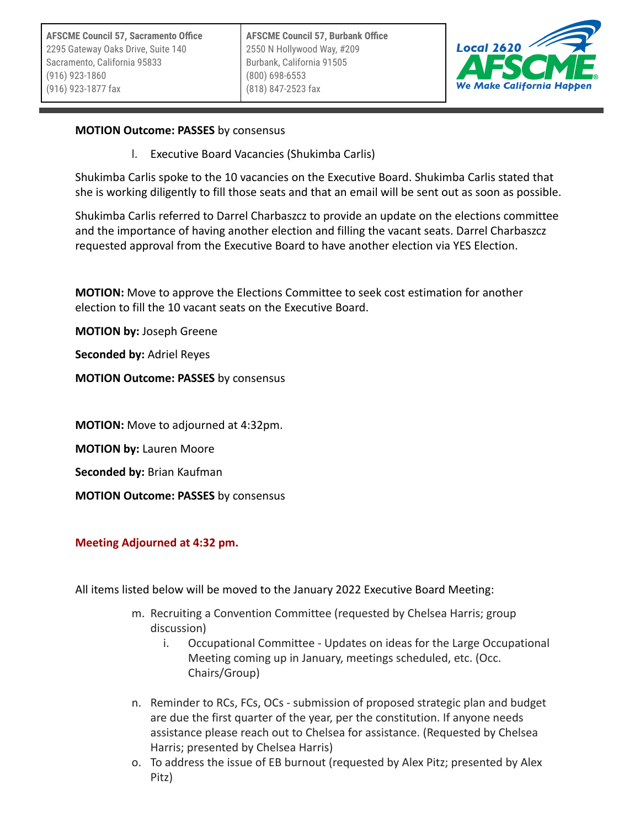

### **MOTION Outcome: PASSES** by consensus

l. Executive Board Vacancies (Shukimba Carlis)

Shukimba Carlis spoke to the 10 vacancies on the Executive Board. Shukimba Carlis stated that she is working diligently to fill those seats and that an email will be sent out as soon as possible.

Shukimba Carlis referred to Darrel Charbaszcz to provide an update on the elections committee and the importance of having another election and filling the vacant seats. Darrel Charbaszcz requested approval from the Executive Board to have another election via YES Election.

**MOTION:** Move to approve the Elections Committee to seek cost estimation for another election to fill the 10 vacant seats on the Executive Board.

**MOTION by:** Joseph Greene

**Seconded by:** Adriel Reyes

**MOTION Outcome: PASSES** by consensus

**MOTION:** Move to adjourned at 4:32pm.

**MOTION by:** Lauren Moore

**Seconded by:** Brian Kaufman

**MOTION Outcome: PASSES** by consensus

#### **Meeting Adjourned at 4:32 pm.**

All items listed below will be moved to the January 2022 Executive Board Meeting:

- m. Recruiting a Convention Committee (requested by Chelsea Harris; group discussion)
	- i. Occupational Committee Updates on ideas for the Large Occupational Meeting coming up in January, meetings scheduled, etc. (Occ. Chairs/Group)
- n. Reminder to RCs, FCs, OCs submission of proposed strategic plan and budget are due the first quarter of the year, per the constitution. If anyone needs assistance please reach out to Chelsea for assistance. (Requested by Chelsea Harris; presented by Chelsea Harris)
- o. To address the issue of EB burnout (requested by Alex Pitz; presented by Alex Pitz)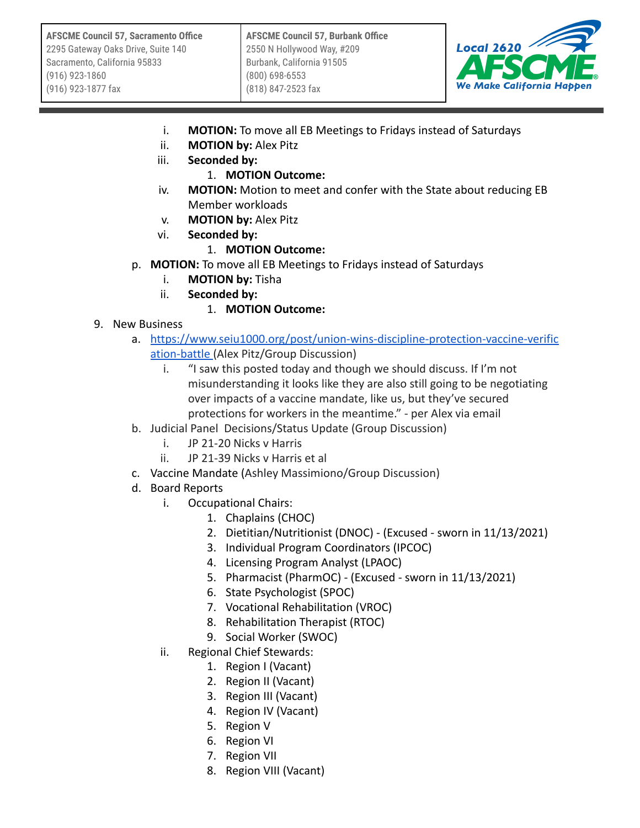

- i. **MOTION:** To move all EB Meetings to Fridays instead of Saturdays
- ii. **MOTION by:** Alex Pitz
- iii. **Seconded by:**

## 1. **MOTION Outcome:**

- iv. **MOTION:** Motion to meet and confer with the State about reducing EB Member workloads
- v. **MOTION by:** Alex Pitz
- vi. **Seconded by:**

# 1. **MOTION Outcome:**

- p. **MOTION:** To move all EB Meetings to Fridays instead of Saturdays
	- i. **MOTION by:** Tisha
	- ii. **Seconded by:**
		- 1. **MOTION Outcome:**
- 9. New Business
	- a. [https://www.seiu1000.org/post/union-wins-discipline-protection-vaccine-verific](https://www.seiu1000.org/post/union-wins-discipline-protection-vaccine-verification-battle) [ation-battle](https://www.seiu1000.org/post/union-wins-discipline-protection-vaccine-verification-battle) (Alex Pitz/Group Discussion)
		- i. "I saw this posted today and though we should discuss. If I'm not misunderstanding it looks like they are also still going to be negotiating over impacts of a vaccine mandate, like us, but they've secured protections for workers in the meantime." - per Alex via email
	- b. Judicial Panel Decisions/Status Update (Group Discussion)
		- i. JP 21-20 Nicks v Harris
		- ii. JP 21-39 Nicks v Harris et al
	- c. Vaccine Mandate (Ashley Massimiono/Group Discussion)
	- d. Board Reports
		- i. Occupational Chairs:
			- 1. Chaplains (CHOC)
			- 2. Dietitian/Nutritionist (DNOC) (Excused sworn in 11/13/2021)
			- 3. Individual Program Coordinators (IPCOC)
			- 4. Licensing Program Analyst (LPAOC)
			- 5. Pharmacist (PharmOC) (Excused sworn in 11/13/2021)
			- 6. State Psychologist (SPOC)
			- 7. Vocational Rehabilitation (VROC)
			- 8. Rehabilitation Therapist (RTOC)
			- 9. Social Worker (SWOC)
		- ii. Regional Chief Stewards:
			- 1. Region I (Vacant)
			- 2. Region II (Vacant)
			- 3. Region III (Vacant)
			- 4. Region IV (Vacant)
			- 5. Region V
			- 6. Region VI
			- 7. Region VII
			- 8. Region VIII (Vacant)